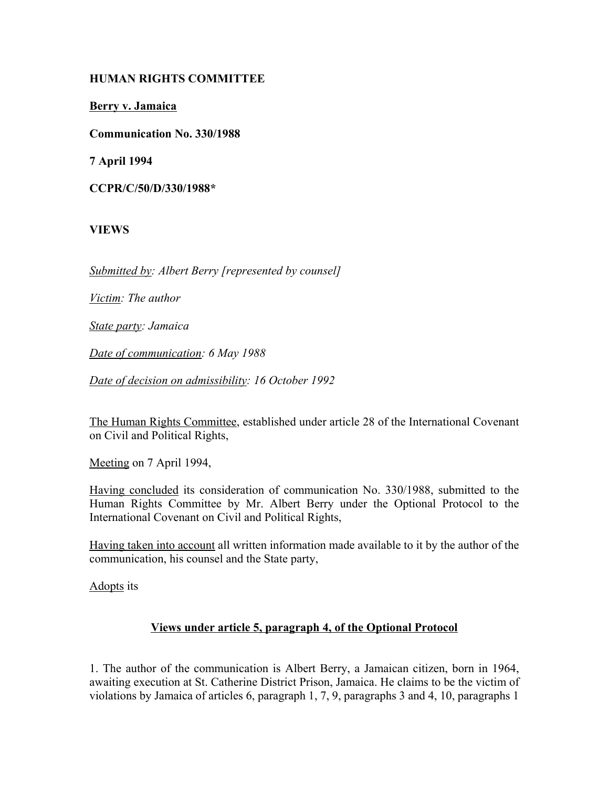# **HUMAN RIGHTS COMMITTEE**

**Berry v. Jamaica**

**Communication No. 330/1988**

**7 April 1994**

**CCPR/C/50/D/330/1988\***

**VIEWS**

*Submitted by: Albert Berry [represented by counsel]*

*Victim: The author*

*State party: Jamaica*

*Date of communication: 6 May 1988*

*Date of decision on admissibility: 16 October 1992*

The Human Rights Committee, established under article 28 of the International Covenant on Civil and Political Rights,

Meeting on 7 April 1994,

Having concluded its consideration of communication No. 330/1988, submitted to the Human Rights Committee by Mr. Albert Berry under the Optional Protocol to the International Covenant on Civil and Political Rights,

Having taken into account all written information made available to it by the author of the communication, his counsel and the State party,

Adopts its

#### **Views under article 5, paragraph 4, of the Optional Protocol**

1. The author of the communication is Albert Berry, a Jamaican citizen, born in 1964, awaiting execution at St. Catherine District Prison, Jamaica. He claims to be the victim of violations by Jamaica of articles 6, paragraph 1, 7, 9, paragraphs 3 and 4, 10, paragraphs 1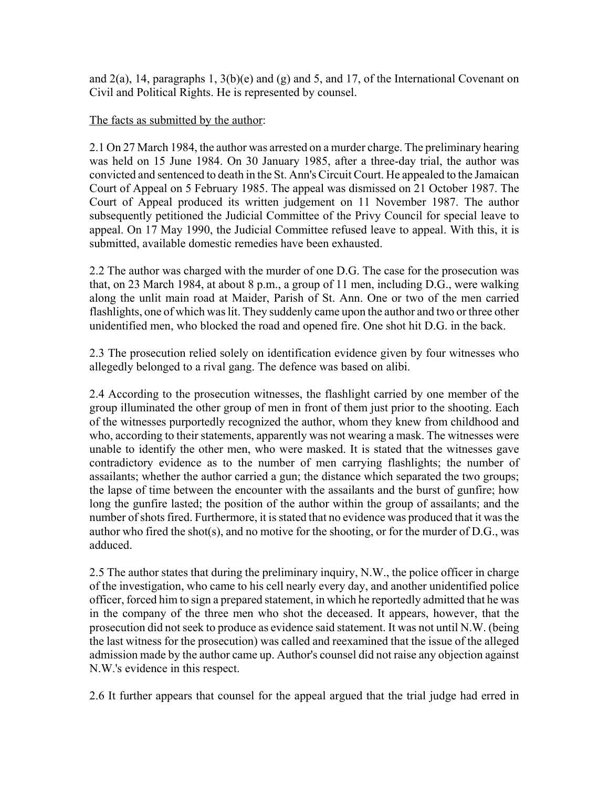and  $2(a)$ , 14, paragraphs 1,  $3(b)(e)$  and  $(g)$  and 5, and 17, of the International Covenant on Civil and Political Rights. He is represented by counsel.

### The facts as submitted by the author:

2.1 On 27 March 1984, the author was arrested on a murder charge. The preliminary hearing was held on 15 June 1984. On 30 January 1985, after a three-day trial, the author was convicted and sentenced to death in the St. Ann's Circuit Court. He appealed to the Jamaican Court of Appeal on 5 February 1985. The appeal was dismissed on 21 October 1987. The Court of Appeal produced its written judgement on 11 November 1987. The author subsequently petitioned the Judicial Committee of the Privy Council for special leave to appeal. On 17 May 1990, the Judicial Committee refused leave to appeal. With this, it is submitted, available domestic remedies have been exhausted.

2.2 The author was charged with the murder of one D.G. The case for the prosecution was that, on 23 March 1984, at about 8 p.m., a group of 11 men, including D.G., were walking along the unlit main road at Maider, Parish of St. Ann. One or two of the men carried flashlights, one of which was lit. They suddenly came upon the author and two or three other unidentified men, who blocked the road and opened fire. One shot hit D.G. in the back.

2.3 The prosecution relied solely on identification evidence given by four witnesses who allegedly belonged to a rival gang. The defence was based on alibi.

2.4 According to the prosecution witnesses, the flashlight carried by one member of the group illuminated the other group of men in front of them just prior to the shooting. Each of the witnesses purportedly recognized the author, whom they knew from childhood and who, according to their statements, apparently was not wearing a mask. The witnesses were unable to identify the other men, who were masked. It is stated that the witnesses gave contradictory evidence as to the number of men carrying flashlights; the number of assailants; whether the author carried a gun; the distance which separated the two groups; the lapse of time between the encounter with the assailants and the burst of gunfire; how long the gunfire lasted; the position of the author within the group of assailants; and the number of shots fired. Furthermore, it is stated that no evidence was produced that it was the author who fired the shot(s), and no motive for the shooting, or for the murder of D.G., was adduced.

2.5 The author states that during the preliminary inquiry, N.W., the police officer in charge of the investigation, who came to his cell nearly every day, and another unidentified police officer, forced him to sign a prepared statement, in which he reportedly admitted that he was in the company of the three men who shot the deceased. It appears, however, that the prosecution did not seek to produce as evidence said statement. It was not until N.W. (being the last witness for the prosecution) was called and reexamined that the issue of the alleged admission made by the author came up. Author's counsel did not raise any objection against N.W.'s evidence in this respect.

2.6 It further appears that counsel for the appeal argued that the trial judge had erred in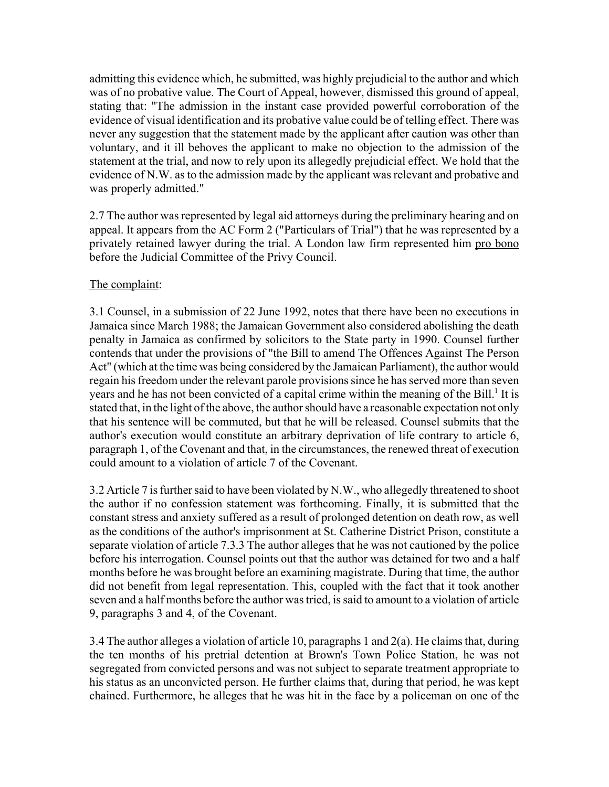admitting this evidence which, he submitted, was highly prejudicial to the author and which was of no probative value. The Court of Appeal, however, dismissed this ground of appeal, stating that: "The admission in the instant case provided powerful corroboration of the evidence of visual identification and its probative value could be of telling effect. There was never any suggestion that the statement made by the applicant after caution was other than voluntary, and it ill behoves the applicant to make no objection to the admission of the statement at the trial, and now to rely upon its allegedly prejudicial effect. We hold that the evidence of N.W. as to the admission made by the applicant was relevant and probative and was properly admitted."

2.7 The author was represented by legal aid attorneys during the preliminary hearing and on appeal. It appears from the AC Form 2 ("Particulars of Trial") that he was represented by a privately retained lawyer during the trial. A London law firm represented him pro bono before the Judicial Committee of the Privy Council.

# The complaint:

3.1 Counsel, in a submission of 22 June 1992, notes that there have been no executions in Jamaica since March 1988; the Jamaican Government also considered abolishing the death penalty in Jamaica as confirmed by solicitors to the State party in 1990. Counsel further contends that under the provisions of "the Bill to amend The Offences Against The Person Act" (which at the time was being considered by the Jamaican Parliament), the author would regain his freedom under the relevant parole provisions since he has served more than seven years and he has not been convicted of a capital crime within the meaning of the Bill.<sup>1</sup> It is stated that, in the light of the above, the author should have a reasonable expectation not only that his sentence will be commuted, but that he will be released. Counsel submits that the author's execution would constitute an arbitrary deprivation of life contrary to article 6, paragraph 1, of the Covenant and that, in the circumstances, the renewed threat of execution could amount to a violation of article 7 of the Covenant.

3.2 Article 7 is further said to have been violated by N.W., who allegedly threatened to shoot the author if no confession statement was forthcoming. Finally, it is submitted that the constant stress and anxiety suffered as a result of prolonged detention on death row, as well as the conditions of the author's imprisonment at St. Catherine District Prison, constitute a separate violation of article 7.3.3 The author alleges that he was not cautioned by the police before his interrogation. Counsel points out that the author was detained for two and a half months before he was brought before an examining magistrate. During that time, the author did not benefit from legal representation. This, coupled with the fact that it took another seven and a half months before the author was tried, is said to amount to a violation of article 9, paragraphs 3 and 4, of the Covenant.

3.4 The author alleges a violation of article 10, paragraphs 1 and 2(a). He claims that, during the ten months of his pretrial detention at Brown's Town Police Station, he was not segregated from convicted persons and was not subject to separate treatment appropriate to his status as an unconvicted person. He further claims that, during that period, he was kept chained. Furthermore, he alleges that he was hit in the face by a policeman on one of the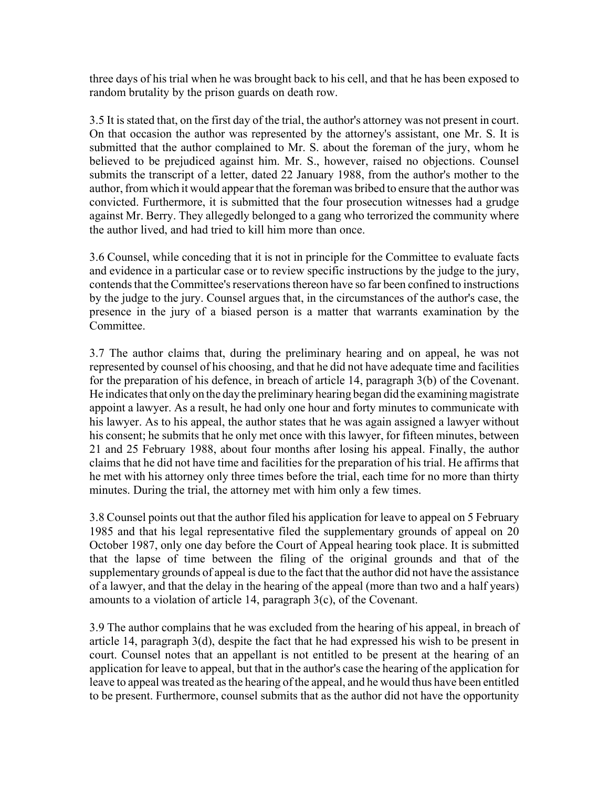three days of his trial when he was brought back to his cell, and that he has been exposed to random brutality by the prison guards on death row.

3.5 It is stated that, on the first day of the trial, the author's attorney was not present in court. On that occasion the author was represented by the attorney's assistant, one Mr. S. It is submitted that the author complained to Mr. S. about the foreman of the jury, whom he believed to be prejudiced against him. Mr. S., however, raised no objections. Counsel submits the transcript of a letter, dated 22 January 1988, from the author's mother to the author, from which it would appear that the foreman was bribed to ensure that the author was convicted. Furthermore, it is submitted that the four prosecution witnesses had a grudge against Mr. Berry. They allegedly belonged to a gang who terrorized the community where the author lived, and had tried to kill him more than once.

3.6 Counsel, while conceding that it is not in principle for the Committee to evaluate facts and evidence in a particular case or to review specific instructions by the judge to the jury, contends that the Committee's reservations thereon have so far been confined to instructions by the judge to the jury. Counsel argues that, in the circumstances of the author's case, the presence in the jury of a biased person is a matter that warrants examination by the **Committee** 

3.7 The author claims that, during the preliminary hearing and on appeal, he was not represented by counsel of his choosing, and that he did not have adequate time and facilities for the preparation of his defence, in breach of article 14, paragraph 3(b) of the Covenant. He indicates that only on the day the preliminary hearing began did the examining magistrate appoint a lawyer. As a result, he had only one hour and forty minutes to communicate with his lawyer. As to his appeal, the author states that he was again assigned a lawyer without his consent; he submits that he only met once with this lawyer, for fifteen minutes, between 21 and 25 February 1988, about four months after losing his appeal. Finally, the author claims that he did not have time and facilities for the preparation of his trial. He affirms that he met with his attorney only three times before the trial, each time for no more than thirty minutes. During the trial, the attorney met with him only a few times.

3.8 Counsel points out that the author filed his application for leave to appeal on 5 February 1985 and that his legal representative filed the supplementary grounds of appeal on 20 October 1987, only one day before the Court of Appeal hearing took place. It is submitted that the lapse of time between the filing of the original grounds and that of the supplementary grounds of appeal is due to the fact that the author did not have the assistance of a lawyer, and that the delay in the hearing of the appeal (more than two and a half years) amounts to a violation of article 14, paragraph 3(c), of the Covenant.

3.9 The author complains that he was excluded from the hearing of his appeal, in breach of article 14, paragraph 3(d), despite the fact that he had expressed his wish to be present in court. Counsel notes that an appellant is not entitled to be present at the hearing of an application for leave to appeal, but that in the author's case the hearing of the application for leave to appeal was treated as the hearing of the appeal, and he would thus have been entitled to be present. Furthermore, counsel submits that as the author did not have the opportunity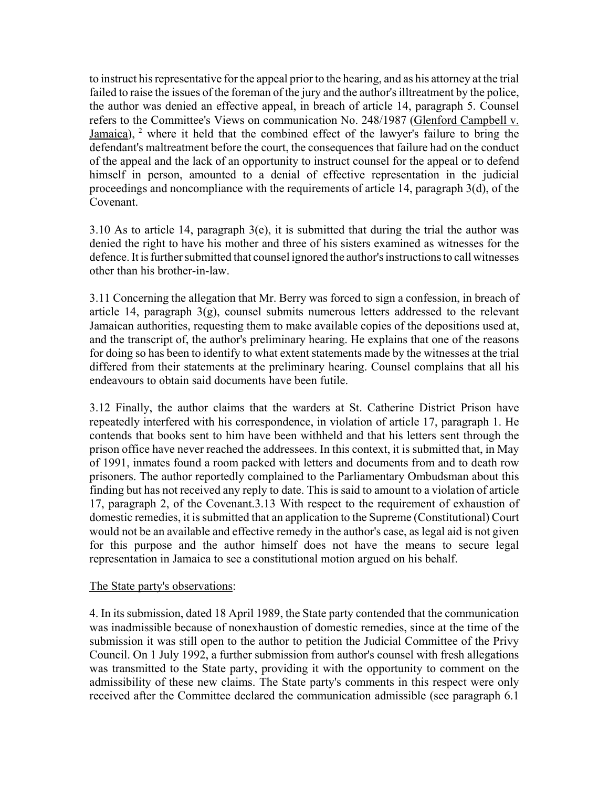to instruct his representative for the appeal prior to the hearing, and as his attorney at the trial failed to raise the issues of the foreman of the jury and the author's illtreatment by the police, the author was denied an effective appeal, in breach of article 14, paragraph 5. Counsel refers to the Committee's Views on communication No. 248/1987 (Glenford Campbell v. Jamaica),  $2$  where it held that the combined effect of the lawyer's failure to bring the defendant's maltreatment before the court, the consequences that failure had on the conduct of the appeal and the lack of an opportunity to instruct counsel for the appeal or to defend himself in person, amounted to a denial of effective representation in the judicial proceedings and noncompliance with the requirements of article 14, paragraph 3(d), of the Covenant.

3.10 As to article 14, paragraph  $3(e)$ , it is submitted that during the trial the author was denied the right to have his mother and three of his sisters examined as witnesses for the defence. It is further submitted that counsel ignored the author's instructions to call witnesses other than his brother-in-law.

3.11 Concerning the allegation that Mr. Berry was forced to sign a confession, in breach of article 14, paragraph  $3(g)$ , counsel submits numerous letters addressed to the relevant Jamaican authorities, requesting them to make available copies of the depositions used at, and the transcript of, the author's preliminary hearing. He explains that one of the reasons for doing so has been to identify to what extent statements made by the witnesses at the trial differed from their statements at the preliminary hearing. Counsel complains that all his endeavours to obtain said documents have been futile.

3.12 Finally, the author claims that the warders at St. Catherine District Prison have repeatedly interfered with his correspondence, in violation of article 17, paragraph 1. He contends that books sent to him have been withheld and that his letters sent through the prison office have never reached the addressees. In this context, it is submitted that, in May of 1991, inmates found a room packed with letters and documents from and to death row prisoners. The author reportedly complained to the Parliamentary Ombudsman about this finding but has not received any reply to date. This is said to amount to a violation of article 17, paragraph 2, of the Covenant.3.13 With respect to the requirement of exhaustion of domestic remedies, it is submitted that an application to the Supreme (Constitutional) Court would not be an available and effective remedy in the author's case, as legal aid is not given for this purpose and the author himself does not have the means to secure legal representation in Jamaica to see a constitutional motion argued on his behalf.

#### The State party's observations:

4. In its submission, dated 18 April 1989, the State party contended that the communication was inadmissible because of nonexhaustion of domestic remedies, since at the time of the submission it was still open to the author to petition the Judicial Committee of the Privy Council. On 1 July 1992, a further submission from author's counsel with fresh allegations was transmitted to the State party, providing it with the opportunity to comment on the admissibility of these new claims. The State party's comments in this respect were only received after the Committee declared the communication admissible (see paragraph 6.1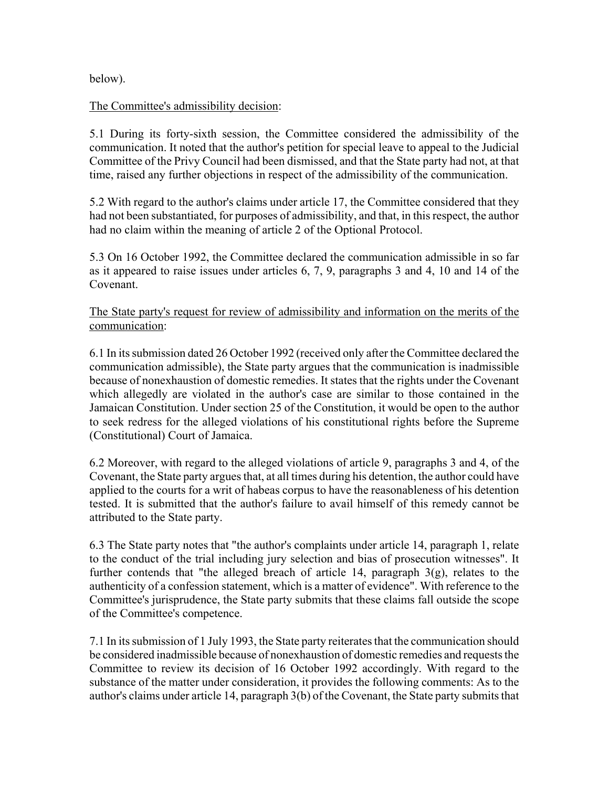below).

## The Committee's admissibility decision:

5.1 During its forty-sixth session, the Committee considered the admissibility of the communication. It noted that the author's petition for special leave to appeal to the Judicial Committee of the Privy Council had been dismissed, and that the State party had not, at that time, raised any further objections in respect of the admissibility of the communication.

5.2 With regard to the author's claims under article 17, the Committee considered that they had not been substantiated, for purposes of admissibility, and that, in this respect, the author had no claim within the meaning of article 2 of the Optional Protocol.

5.3 On 16 October 1992, the Committee declared the communication admissible in so far as it appeared to raise issues under articles 6, 7, 9, paragraphs 3 and 4, 10 and 14 of the Covenant.

The State party's request for review of admissibility and information on the merits of the communication:

6.1 In its submission dated 26 October 1992 (received only after the Committee declared the communication admissible), the State party argues that the communication is inadmissible because of nonexhaustion of domestic remedies. It states that the rights under the Covenant which allegedly are violated in the author's case are similar to those contained in the Jamaican Constitution. Under section 25 of the Constitution, it would be open to the author to seek redress for the alleged violations of his constitutional rights before the Supreme (Constitutional) Court of Jamaica.

6.2 Moreover, with regard to the alleged violations of article 9, paragraphs 3 and 4, of the Covenant, the State party argues that, at all times during his detention, the author could have applied to the courts for a writ of habeas corpus to have the reasonableness of his detention tested. It is submitted that the author's failure to avail himself of this remedy cannot be attributed to the State party.

6.3 The State party notes that "the author's complaints under article 14, paragraph 1, relate to the conduct of the trial including jury selection and bias of prosecution witnesses". It further contends that "the alleged breach of article 14, paragraph 3(g), relates to the authenticity of a confession statement, which is a matter of evidence". With reference to the Committee's jurisprudence, the State party submits that these claims fall outside the scope of the Committee's competence.

7.1 In its submission of 1 July 1993, the State party reiterates that the communication should be considered inadmissible because of nonexhaustion of domestic remedies and requests the Committee to review its decision of 16 October 1992 accordingly. With regard to the substance of the matter under consideration, it provides the following comments: As to the author's claims under article 14, paragraph 3(b) of the Covenant, the State party submits that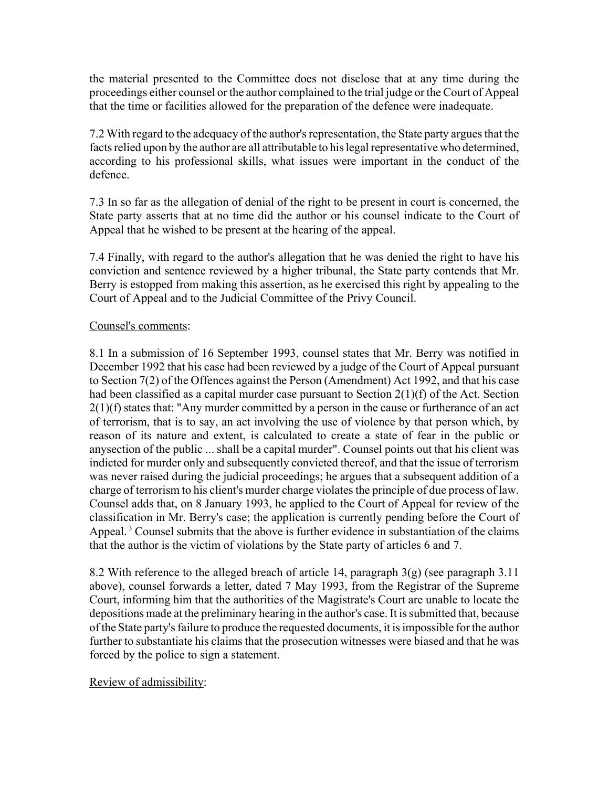the material presented to the Committee does not disclose that at any time during the proceedings either counsel or the author complained to the trial judge or the Court of Appeal that the time or facilities allowed for the preparation of the defence were inadequate.

7.2 With regard to the adequacy of the author's representation, the State party argues that the facts relied upon by the author are all attributable to his legal representative who determined, according to his professional skills, what issues were important in the conduct of the defence.

7.3 In so far as the allegation of denial of the right to be present in court is concerned, the State party asserts that at no time did the author or his counsel indicate to the Court of Appeal that he wished to be present at the hearing of the appeal.

7.4 Finally, with regard to the author's allegation that he was denied the right to have his conviction and sentence reviewed by a higher tribunal, the State party contends that Mr. Berry is estopped from making this assertion, as he exercised this right by appealing to the Court of Appeal and to the Judicial Committee of the Privy Council.

### Counsel's comments:

8.1 In a submission of 16 September 1993, counsel states that Mr. Berry was notified in December 1992 that his case had been reviewed by a judge of the Court of Appeal pursuant to Section 7(2) of the Offences against the Person (Amendment) Act 1992, and that his case had been classified as a capital murder case pursuant to Section 2(1)(f) of the Act. Section 2(1)(f) states that: "Any murder committed by a person in the cause or furtherance of an act of terrorism, that is to say, an act involving the use of violence by that person which, by reason of its nature and extent, is calculated to create a state of fear in the public or anysection of the public ... shall be a capital murder". Counsel points out that his client was indicted for murder only and subsequently convicted thereof, and that the issue of terrorism was never raised during the judicial proceedings; he argues that a subsequent addition of a charge of terrorism to his client's murder charge violates the principle of due process of law. Counsel adds that, on 8 January 1993, he applied to the Court of Appeal for review of the classification in Mr. Berry's case; the application is currently pending before the Court of Appeal.<sup>3</sup> Counsel submits that the above is further evidence in substantiation of the claims that the author is the victim of violations by the State party of articles 6 and 7.

8.2 With reference to the alleged breach of article 14, paragraph 3(g) (see paragraph 3.11 above), counsel forwards a letter, dated 7 May 1993, from the Registrar of the Supreme Court, informing him that the authorities of the Magistrate's Court are unable to locate the depositions made at the preliminary hearing in the author's case. It is submitted that, because of the State party's failure to produce the requested documents, it is impossible for the author further to substantiate his claims that the prosecution witnesses were biased and that he was forced by the police to sign a statement.

# Review of admissibility: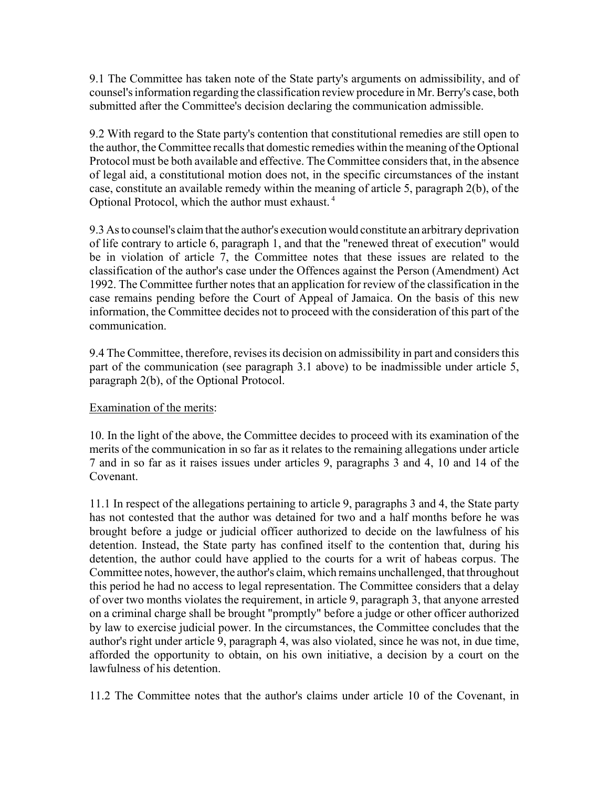9.1 The Committee has taken note of the State party's arguments on admissibility, and of counsel's information regarding the classification review procedure in Mr. Berry's case, both submitted after the Committee's decision declaring the communication admissible.

9.2 With regard to the State party's contention that constitutional remedies are still open to the author, the Committee recalls that domestic remedies within the meaning of the Optional Protocol must be both available and effective. The Committee considers that, in the absence of legal aid, a constitutional motion does not, in the specific circumstances of the instant case, constitute an available remedy within the meaning of article 5, paragraph 2(b), of the Optional Protocol, which the author must exhaust. 4

9.3 As to counsel's claim that the author's execution would constitute an arbitrary deprivation of life contrary to article 6, paragraph 1, and that the "renewed threat of execution" would be in violation of article 7, the Committee notes that these issues are related to the classification of the author's case under the Offences against the Person (Amendment) Act 1992. The Committee further notes that an application for review of the classification in the case remains pending before the Court of Appeal of Jamaica. On the basis of this new information, the Committee decides not to proceed with the consideration of this part of the communication.

9.4 The Committee, therefore, revises its decision on admissibility in part and considers this part of the communication (see paragraph 3.1 above) to be inadmissible under article 5, paragraph 2(b), of the Optional Protocol.

# Examination of the merits:

10. In the light of the above, the Committee decides to proceed with its examination of the merits of the communication in so far as it relates to the remaining allegations under article 7 and in so far as it raises issues under articles 9, paragraphs 3 and 4, 10 and 14 of the Covenant.

11.1 In respect of the allegations pertaining to article 9, paragraphs 3 and 4, the State party has not contested that the author was detained for two and a half months before he was brought before a judge or judicial officer authorized to decide on the lawfulness of his detention. Instead, the State party has confined itself to the contention that, during his detention, the author could have applied to the courts for a writ of habeas corpus. The Committee notes, however, the author's claim, which remains unchallenged, that throughout this period he had no access to legal representation. The Committee considers that a delay of over two months violates the requirement, in article 9, paragraph 3, that anyone arrested on a criminal charge shall be brought "promptly" before a judge or other officer authorized by law to exercise judicial power. In the circumstances, the Committee concludes that the author's right under article 9, paragraph 4, was also violated, since he was not, in due time, afforded the opportunity to obtain, on his own initiative, a decision by a court on the lawfulness of his detention.

11.2 The Committee notes that the author's claims under article 10 of the Covenant, in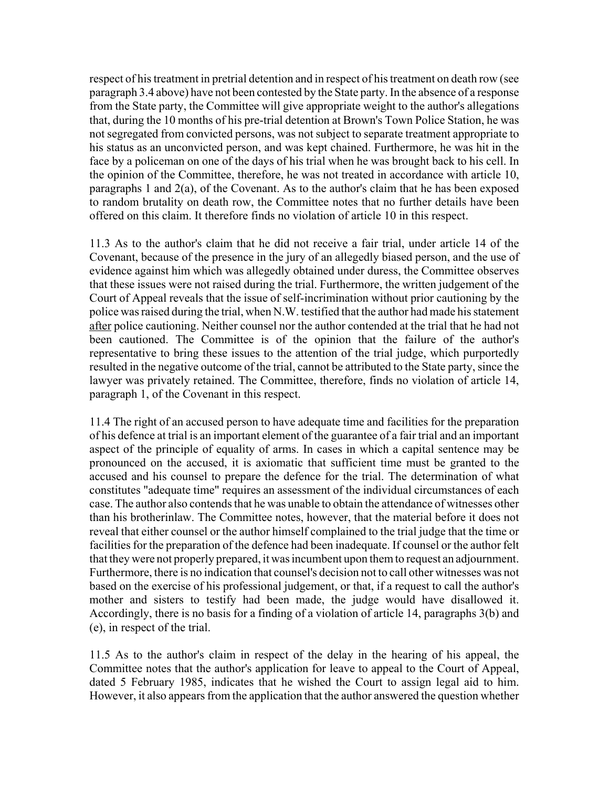respect of his treatment in pretrial detention and in respect of his treatment on death row (see paragraph 3.4 above) have not been contested by the State party. In the absence of a response from the State party, the Committee will give appropriate weight to the author's allegations that, during the 10 months of his pre-trial detention at Brown's Town Police Station, he was not segregated from convicted persons, was not subject to separate treatment appropriate to his status as an unconvicted person, and was kept chained. Furthermore, he was hit in the face by a policeman on one of the days of his trial when he was brought back to his cell. In the opinion of the Committee, therefore, he was not treated in accordance with article 10, paragraphs 1 and 2(a), of the Covenant. As to the author's claim that he has been exposed to random brutality on death row, the Committee notes that no further details have been offered on this claim. It therefore finds no violation of article 10 in this respect.

11.3 As to the author's claim that he did not receive a fair trial, under article 14 of the Covenant, because of the presence in the jury of an allegedly biased person, and the use of evidence against him which was allegedly obtained under duress, the Committee observes that these issues were not raised during the trial. Furthermore, the written judgement of the Court of Appeal reveals that the issue of self-incrimination without prior cautioning by the police was raised during the trial, when N.W. testified that the author had made his statement after police cautioning. Neither counsel nor the author contended at the trial that he had not been cautioned. The Committee is of the opinion that the failure of the author's representative to bring these issues to the attention of the trial judge, which purportedly resulted in the negative outcome of the trial, cannot be attributed to the State party, since the lawyer was privately retained. The Committee, therefore, finds no violation of article 14, paragraph 1, of the Covenant in this respect.

11.4 The right of an accused person to have adequate time and facilities for the preparation of his defence at trial is an important element of the guarantee of a fair trial and an important aspect of the principle of equality of arms. In cases in which a capital sentence may be pronounced on the accused, it is axiomatic that sufficient time must be granted to the accused and his counsel to prepare the defence for the trial. The determination of what constitutes "adequate time" requires an assessment of the individual circumstances of each case. The author also contends that he was unable to obtain the attendance of witnesses other than his brotherinlaw. The Committee notes, however, that the material before it does not reveal that either counsel or the author himself complained to the trial judge that the time or facilities for the preparation of the defence had been inadequate. If counsel or the author felt that they were not properly prepared, it was incumbent upon them to request an adjournment. Furthermore, there is no indication that counsel's decision not to call other witnesses was not based on the exercise of his professional judgement, or that, if a request to call the author's mother and sisters to testify had been made, the judge would have disallowed it. Accordingly, there is no basis for a finding of a violation of article 14, paragraphs 3(b) and (e), in respect of the trial.

11.5 As to the author's claim in respect of the delay in the hearing of his appeal, the Committee notes that the author's application for leave to appeal to the Court of Appeal, dated 5 February 1985, indicates that he wished the Court to assign legal aid to him. However, it also appears from the application that the author answered the question whether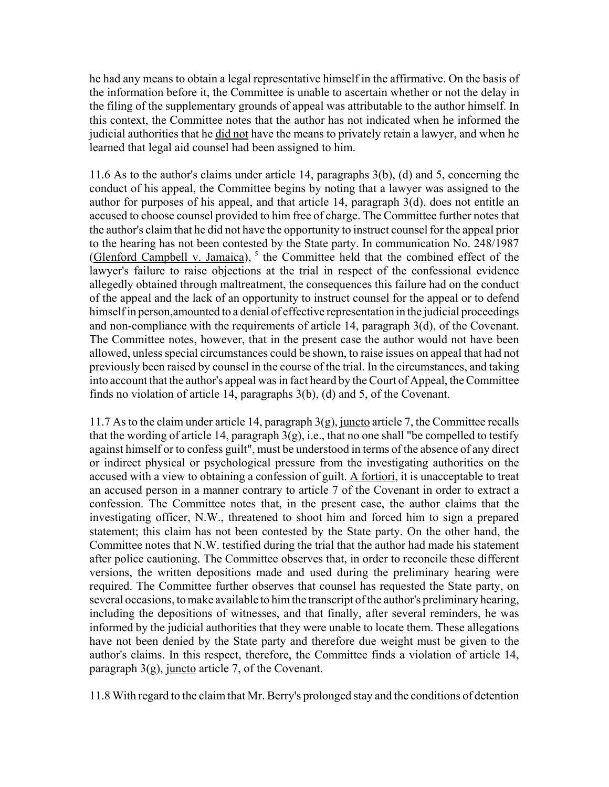he had any means to obtain a legal representative himself in the affirmative. On the basis of the information before it, the Committee is unable to ascertain whether or not the delay in the filing of the supplementary grounds of appeal was attributable to the author himself. In this context, the Committee notes that the author has not indicated when he informed the judicial authorities that he did not have the means to privately retain a lawyer, and when he learned that legal aid counsel had been assigned to him.

11.6 As to the author's claims under article 14, paragraphs 3(b), (d) and 5, concerning the conduct of his appeal, the Committee begins by noting that a lawyer was assigned to the author for purposes of his appeal, and that article 14, paragraph 3(d), does not entitle an accused to choose counsel provided to him free of charge. The Committee further notes that the author's claim that he did not have the opportunity to instruct counsel for the appeal prior to the hearing has not been contested by the State party. In communication No. 248/1987 (Glenford Campbell v. Jamaica),  $5$  the Committee held that the combined effect of the lawyer's failure to raise objections at the trial in respect of the confessional evidence allegedly obtained through maltreatment, the consequences this failure had on the conduct of the appeal and the lack of an opportunity to instruct counsel for the appeal or to defend himself in person,amounted to a denial of effective representation in the judicial proceedings and non-compliance with the requirements of article 14, paragraph 3(d), of the Covenant. The Committee notes, however, that in the present case the author would not have been allowed, unless special circumstances could be shown, to raise issues on appeal that had not previously been raised by counsel in the course of the trial. In the circumstances, and taking into account that the author's appeal was in fact heard by the Court of Appeal, the Committee finds no violation of article 14, paragraphs 3(b), (d) and 5, of the Covenant.

11.7 As to the claim under article 14, paragraph 3(g), juncto article 7, the Committee recalls that the wording of article 14, paragraph  $3(g)$ , i.e., that no one shall "be compelled to testify against himself or to confess guilt", must be understood in terms of the absence of any direct or indirect physical or psychological pressure from the investigating authorities on the accused with a view to obtaining a confession of guilt. A fortiori, it is unacceptable to treat an accused person in a manner contrary to article 7 of the Covenant in order to extract a confession. The Committee notes that, in the present case, the author claims that the investigating officer, N.W., threatened to shoot him and forced him to sign a prepared statement; this claim has not been contested by the State party. On the other hand, the Committee notes that N.W. testified during the trial that the author had made his statement after police cautioning. The Committee observes that, in order to reconcile these different versions, the written depositions made and used during the preliminary hearing were required. The Committee further observes that counsel has requested the State party, on several occasions, to make available to him the transcript of the author's preliminary hearing, including the depositions of witnesses, and that finally, after several reminders, he was informed by the judicial authorities that they were unable to locate them. These allegations have not been denied by the State party and therefore due weight must be given to the author's claims. In this respect, therefore, the Committee finds a violation of article 14, paragraph  $3(g)$ , juncto article 7, of the Covenant.

11.8 With regard to the claim that Mr. Berry's prolonged stay and the conditions of detention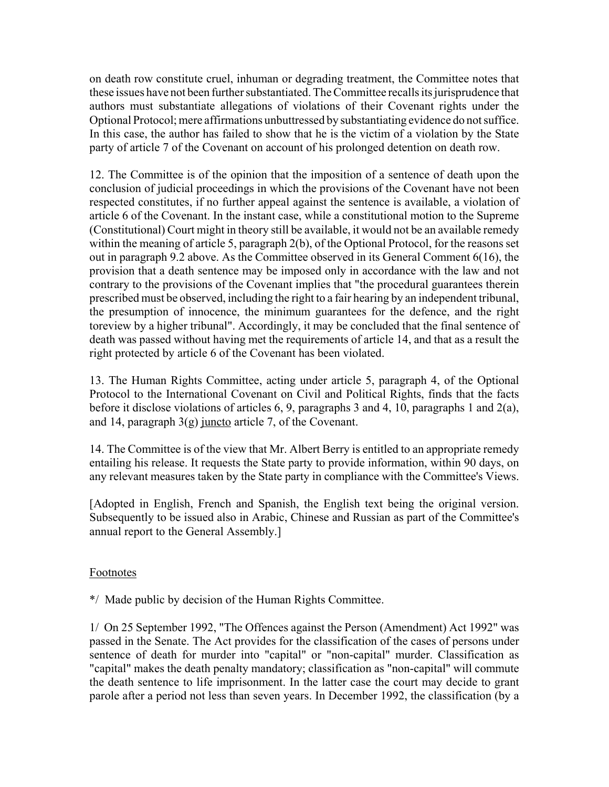on death row constitute cruel, inhuman or degrading treatment, the Committee notes that these issues have not been further substantiated. The Committee recalls its jurisprudence that authors must substantiate allegations of violations of their Covenant rights under the Optional Protocol; mere affirmations unbuttressed by substantiating evidence do not suffice. In this case, the author has failed to show that he is the victim of a violation by the State party of article 7 of the Covenant on account of his prolonged detention on death row.

12. The Committee is of the opinion that the imposition of a sentence of death upon the conclusion of judicial proceedings in which the provisions of the Covenant have not been respected constitutes, if no further appeal against the sentence is available, a violation of article 6 of the Covenant. In the instant case, while a constitutional motion to the Supreme (Constitutional) Court might in theory still be available, it would not be an available remedy within the meaning of article 5, paragraph 2(b), of the Optional Protocol, for the reasons set out in paragraph 9.2 above. As the Committee observed in its General Comment 6(16), the provision that a death sentence may be imposed only in accordance with the law and not contrary to the provisions of the Covenant implies that "the procedural guarantees therein prescribed must be observed, including the right to a fair hearing by an independent tribunal, the presumption of innocence, the minimum guarantees for the defence, and the right toreview by a higher tribunal". Accordingly, it may be concluded that the final sentence of death was passed without having met the requirements of article 14, and that as a result the right protected by article 6 of the Covenant has been violated.

13. The Human Rights Committee, acting under article 5, paragraph 4, of the Optional Protocol to the International Covenant on Civil and Political Rights, finds that the facts before it disclose violations of articles 6, 9, paragraphs 3 and 4, 10, paragraphs 1 and 2(a), and 14, paragraph 3(g) juncto article 7, of the Covenant.

14. The Committee is of the view that Mr. Albert Berry is entitled to an appropriate remedy entailing his release. It requests the State party to provide information, within 90 days, on any relevant measures taken by the State party in compliance with the Committee's Views.

[Adopted in English, French and Spanish, the English text being the original version. Subsequently to be issued also in Arabic, Chinese and Russian as part of the Committee's annual report to the General Assembly.]

# Footnotes

\*/ Made public by decision of the Human Rights Committee.

1/ On 25 September 1992, "The Offences against the Person (Amendment) Act 1992" was passed in the Senate. The Act provides for the classification of the cases of persons under sentence of death for murder into "capital" or "non-capital" murder. Classification as "capital" makes the death penalty mandatory; classification as "non-capital" will commute the death sentence to life imprisonment. In the latter case the court may decide to grant parole after a period not less than seven years. In December 1992, the classification (by a